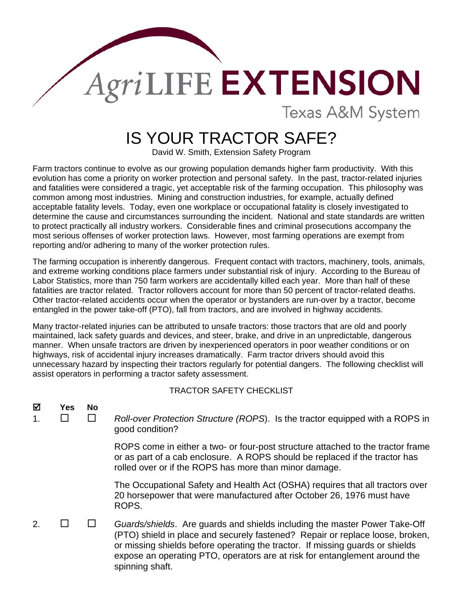## **AgriLIFE EXTENSION Texas A&M System**

## IS YOUR TRACTOR SAFE?

David W. Smith, Extension Safety Program

Farm tractors continue to evolve as our growing population demands higher farm productivity. With this evolution has come a priority on worker protection and personal safety. In the past, tractor-related injuries and fatalities were considered a tragic, yet acceptable risk of the farming occupation. This philosophy was common among most industries. Mining and construction industries, for example, actually defined acceptable fatality levels. Today, even one workplace or occupational fatality is closely investigated to determine the cause and circumstances surrounding the incident. National and state standards are written to protect practically all industry workers. Considerable fines and criminal prosecutions accompany the most serious offenses of worker protection laws. However, most farming operations are exempt from reporting and/or adhering to many of the worker protection rules.

The farming occupation is inherently dangerous. Frequent contact with tractors, machinery, tools, animals, and extreme working conditions place farmers under substantial risk of injury. According to the Bureau of Labor Statistics, more than 750 farm workers are accidentally killed each year. More than half of these fatalities are tractor related. Tractor rollovers account for more than 50 percent of tractor-related deaths. Other tractor-related accidents occur when the operator or bystanders are run-over by a tractor, become entangled in the power take-off (PTO), fall from tractors, and are involved in highway accidents.

Many tractor-related injuries can be attributed to unsafe tractors: those tractors that are old and poorly maintained, lack safety guards and devices, and steer, brake, and drive in an unpredictable, dangerous manner. When unsafe tractors are driven by inexperienced operators in poor weather conditions or on highways, risk of accidental injury increases dramatically. Farm tractor drivers should avoid this unnecessary hazard by inspecting their tractors regularly for potential dangers. The following checklist will assist operators in performing a tractor safety assessment.

TRACTOR SAFETY CHECKLIST

| ⊠ | Yes | No. | Roll-over Protection Structure (ROPS). Is the tractor equipped with a ROPS in<br>good condition?                                                                                                                                                                                                                           |
|---|-----|-----|----------------------------------------------------------------------------------------------------------------------------------------------------------------------------------------------------------------------------------------------------------------------------------------------------------------------------|
|   |     |     | ROPS come in either a two- or four-post structure attached to the tractor frame<br>or as part of a cab enclosure. A ROPS should be replaced if the tractor has<br>rolled over or if the ROPS has more than minor damage.                                                                                                   |
|   |     |     | The Occupational Safety and Health Act (OSHA) requires that all tractors over<br>20 horsepower that were manufactured after October 26, 1976 must have<br>ROPS.                                                                                                                                                            |
|   |     |     | Guards/shields. Are guards and shields including the master Power Take-Off<br>(PTO) shield in place and securely fastened? Repair or replace loose, broken,<br>or missing shields before operating the tractor. If missing guards or shields<br>expose an operating PTO, operators are at risk for entanglement around the |

spinning shaft.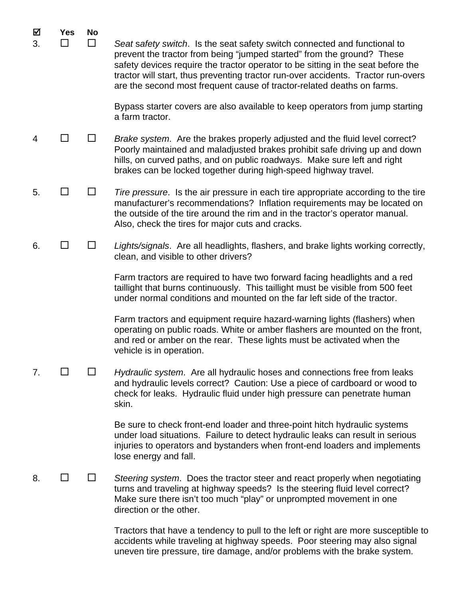| ☑<br>3. | <b>Yes</b><br>$\mathsf{L}$ | <b>No</b><br>H | Seat safety switch. Is the seat safety switch connected and functional to<br>prevent the tractor from being "jumped started" from the ground? These<br>safety devices require the tractor operator to be sitting in the seat before the<br>tractor will start, thus preventing tractor run-over accidents. Tractor run-overs<br>are the second most frequent cause of tractor-related deaths on farms. |
|---------|----------------------------|----------------|--------------------------------------------------------------------------------------------------------------------------------------------------------------------------------------------------------------------------------------------------------------------------------------------------------------------------------------------------------------------------------------------------------|
|         |                            |                | Bypass starter covers are also available to keep operators from jump starting<br>a farm tractor.                                                                                                                                                                                                                                                                                                       |
| 4       | ΙI                         |                | Brake system. Are the brakes properly adjusted and the fluid level correct?<br>Poorly maintained and maladjusted brakes prohibit safe driving up and down<br>hills, on curved paths, and on public roadways. Make sure left and right<br>brakes can be locked together during high-speed highway travel.                                                                                               |
| 5.      |                            |                | Tire pressure. Is the air pressure in each tire appropriate according to the tire<br>manufacturer's recommendations? Inflation requirements may be located on<br>the outside of the tire around the rim and in the tractor's operator manual.<br>Also, check the tires for major cuts and cracks.                                                                                                      |
| 6.      | $\Box$                     | $\mathsf{L}$   | Lights/signals. Are all headlights, flashers, and brake lights working correctly,<br>clean, and visible to other drivers?                                                                                                                                                                                                                                                                              |
|         |                            |                | Farm tractors are required to have two forward facing headlights and a red<br>taillight that burns continuously. This taillight must be visible from 500 feet<br>under normal conditions and mounted on the far left side of the tractor.                                                                                                                                                              |
|         |                            |                | Farm tractors and equipment require hazard-warning lights (flashers) when<br>operating on public roads. White or amber flashers are mounted on the front,<br>and red or amber on the rear. These lights must be activated when the<br>vehicle is in operation.                                                                                                                                         |
| 7.      |                            |                | Hydraulic system. Are all hydraulic hoses and connections free from leaks<br>and hydraulic levels correct? Caution: Use a piece of cardboard or wood to<br>check for leaks. Hydraulic fluid under high pressure can penetrate human<br>skin.                                                                                                                                                           |
|         |                            |                | Be sure to check front-end loader and three-point hitch hydraulic systems<br>under load situations. Failure to detect hydraulic leaks can result in serious<br>injuries to operators and bystanders when front-end loaders and implements<br>lose energy and fall.                                                                                                                                     |
| 8.      |                            |                | Steering system. Does the tractor steer and react properly when negotiating<br>turns and traveling at highway speeds? Is the steering fluid level correct?<br>Make sure there isn't too much "play" or unprompted movement in one<br>direction or the other.                                                                                                                                           |
|         |                            |                | Tractors that have a tendency to pull to the left or right are more susceptible to<br>accidents while traveling at highway speeds. Poor steering may also signal                                                                                                                                                                                                                                       |

uneven tire pressure, tire damage, and/or problems with the brake system.